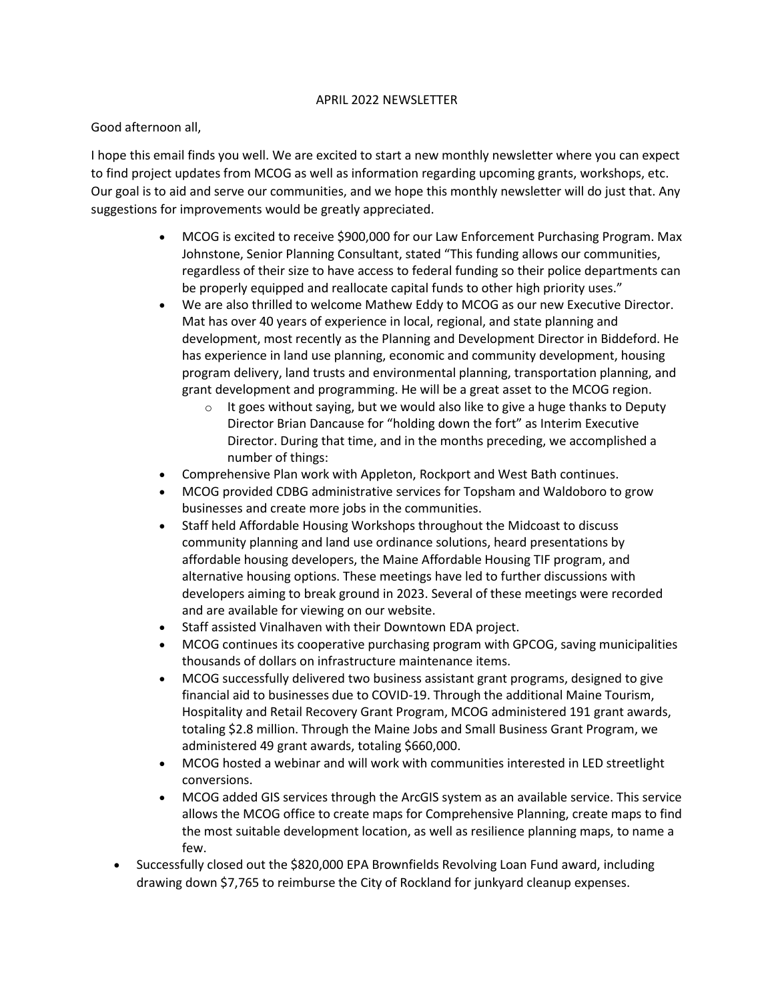## APRIL 2022 NEWSLETTER

## Good afternoon all,

I hope this email finds you well. We are excited to start a new monthly newsletter where you can expect to find project updates from MCOG as well as information regarding upcoming grants, workshops, etc. Our goal is to aid and serve our communities, and we hope this monthly newsletter will do just that. Any suggestions for improvements would be greatly appreciated.

- MCOG is excited to receive \$900,000 for our Law Enforcement Purchasing Program. Max Johnstone, Senior Planning Consultant, stated "This funding allows our communities, regardless of their size to have access to federal funding so their police departments can be properly equipped and reallocate capital funds to other high priority uses."
- We are also thrilled to welcome Mathew Eddy to MCOG as our new Executive Director. Mat has over 40 years of experience in local, regional, and state planning and development, most recently as the Planning and Development Director in Biddeford. He has experience in land use planning, economic and community development, housing program delivery, land trusts and environmental planning, transportation planning, and grant development and programming. He will be a great asset to the MCOG region.
	- $\circ$  It goes without saying, but we would also like to give a huge thanks to Deputy Director Brian Dancause for "holding down the fort" as Interim Executive Director. During that time, and in the months preceding, we accomplished a number of things:
- Comprehensive Plan work with Appleton, Rockport and West Bath continues.
- MCOG provided CDBG administrative services for Topsham and Waldoboro to grow businesses and create more jobs in the communities.
- Staff held Affordable Housing Workshops throughout the Midcoast to discuss community planning and land use ordinance solutions, heard presentations by affordable housing developers, the Maine Affordable Housing TIF program, and alternative housing options. These meetings have led to further discussions with developers aiming to break ground in 2023. Several of these meetings were recorded and are available for viewing on our website.
- Staff assisted Vinalhaven with their Downtown EDA project.
- MCOG continues its cooperative purchasing program with GPCOG, saving municipalities thousands of dollars on infrastructure maintenance items.
- MCOG successfully delivered two business assistant grant programs, designed to give financial aid to businesses due to COVID-19. Through the additional Maine Tourism, Hospitality and Retail Recovery Grant Program, MCOG administered 191 grant awards, totaling \$2.8 million. Through the Maine Jobs and Small Business Grant Program, we administered 49 grant awards, totaling \$660,000.
- MCOG hosted a webinar and will work with communities interested in LED streetlight conversions.
- MCOG added GIS services through the ArcGIS system as an available service. This service allows the MCOG office to create maps for Comprehensive Planning, create maps to find the most suitable development location, as well as resilience planning maps, to name a few.
- Successfully closed out the \$820,000 EPA Brownfields Revolving Loan Fund award, including drawing down \$7,765 to reimburse the City of Rockland for junkyard cleanup expenses.